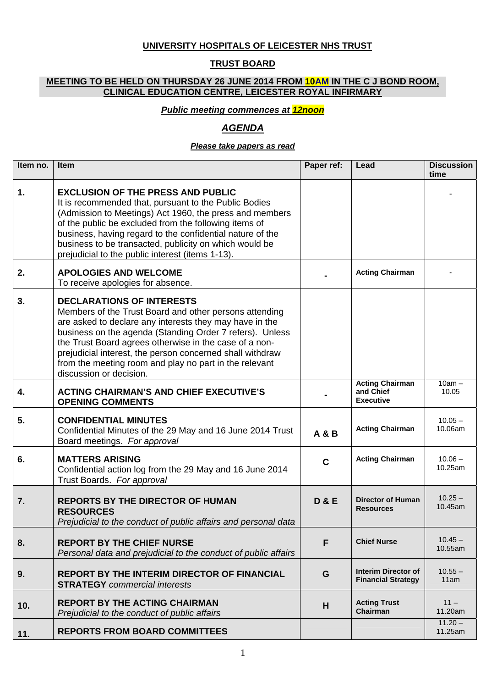## **UNIVERSITY HOSPITALS OF LEICESTER NHS TRUST**

## **TRUST BOARD**

#### **MEETING TO BE HELD ON THURSDAY 26 JUNE 2014 FROM 10AM IN THE C J BOND ROOM, CLINICAL EDUCATION CENTRE, LEICESTER ROYAL INFIRMARY**

### *Public meeting commences at 12noon*

# *AGENDA*

#### *Please take papers as read*

| Item no.       | Item                                                                                                                                                                                                                                                                                                                                                                                                                          | Paper ref:     | Lead                                                    | <b>Discussion</b><br>time |
|----------------|-------------------------------------------------------------------------------------------------------------------------------------------------------------------------------------------------------------------------------------------------------------------------------------------------------------------------------------------------------------------------------------------------------------------------------|----------------|---------------------------------------------------------|---------------------------|
| $\mathbf{1}$ . | <b>EXCLUSION OF THE PRESS AND PUBLIC</b><br>It is recommended that, pursuant to the Public Bodies<br>(Admission to Meetings) Act 1960, the press and members<br>of the public be excluded from the following items of<br>business, having regard to the confidential nature of the<br>business to be transacted, publicity on which would be<br>prejudicial to the public interest (items 1-13).                              |                |                                                         |                           |
| 2.             | <b>APOLOGIES AND WELCOME</b><br>To receive apologies for absence.                                                                                                                                                                                                                                                                                                                                                             |                | <b>Acting Chairman</b>                                  |                           |
| 3.             | <b>DECLARATIONS OF INTERESTS</b><br>Members of the Trust Board and other persons attending<br>are asked to declare any interests they may have in the<br>business on the agenda (Standing Order 7 refers). Unless<br>the Trust Board agrees otherwise in the case of a non-<br>prejudicial interest, the person concerned shall withdraw<br>from the meeting room and play no part in the relevant<br>discussion or decision. |                |                                                         |                           |
| 4.             | <b>ACTING CHAIRMAN'S AND CHIEF EXECUTIVE'S</b><br><b>OPENING COMMENTS</b>                                                                                                                                                                                                                                                                                                                                                     |                | <b>Acting Chairman</b><br>and Chief<br><b>Executive</b> | $10am -$<br>10.05         |
| 5.             | <b>CONFIDENTIAL MINUTES</b><br>Confidential Minutes of the 29 May and 16 June 2014 Trust<br>Board meetings. For approval                                                                                                                                                                                                                                                                                                      | A & B          | <b>Acting Chairman</b>                                  | $10.05 -$<br>10.06am      |
| 6.             | <b>MATTERS ARISING</b><br>Confidential action log from the 29 May and 16 June 2014<br>Trust Boards. For approval                                                                                                                                                                                                                                                                                                              | $\mathbf C$    | <b>Acting Chairman</b>                                  | $10.06 -$<br>10.25am      |
| 7.             | <b>REPORTS BY THE DIRECTOR OF HUMAN</b><br><b>RESOURCES</b><br>Prejudicial to the conduct of public affairs and personal data                                                                                                                                                                                                                                                                                                 | <b>D&amp;E</b> | <b>Director of Human</b><br><b>Resources</b>            | $10.25 -$<br>10.45am      |
| 8.             | <b>REPORT BY THE CHIEF NURSE</b><br>Personal data and prejudicial to the conduct of public affairs                                                                                                                                                                                                                                                                                                                            | F              | <b>Chief Nurse</b>                                      | $10.45 -$<br>10.55am      |
| 9.             | <b>REPORT BY THE INTERIM DIRECTOR OF FINANCIAL</b><br><b>STRATEGY</b> commercial interests                                                                                                                                                                                                                                                                                                                                    | G              | <b>Interim Director of</b><br><b>Financial Strategy</b> | $10.55 -$<br>11am         |
| 10.            | <b>REPORT BY THE ACTING CHAIRMAN</b><br>Prejudicial to the conduct of public affairs                                                                                                                                                                                                                                                                                                                                          | H              | <b>Acting Trust</b><br>Chairman                         | $11 -$<br>11.20am         |
| 11.            | <b>REPORTS FROM BOARD COMMITTEES</b>                                                                                                                                                                                                                                                                                                                                                                                          |                |                                                         | $11.20 -$<br>11.25am      |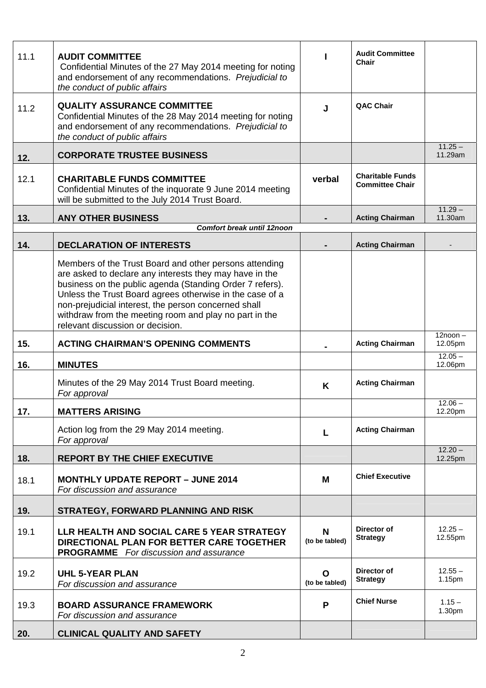| 11.1 | <b>AUDIT COMMITTEE</b><br>Confidential Minutes of the 27 May 2014 meeting for noting<br>and endorsement of any recommendations. Prejudicial to<br>the conduct of public affairs                                                                                                                                                                                                                 |                     | <b>Audit Committee</b><br>Chair                   |                       |
|------|-------------------------------------------------------------------------------------------------------------------------------------------------------------------------------------------------------------------------------------------------------------------------------------------------------------------------------------------------------------------------------------------------|---------------------|---------------------------------------------------|-----------------------|
| 11.2 | <b>QUALITY ASSURANCE COMMITTEE</b><br>Confidential Minutes of the 28 May 2014 meeting for noting<br>and endorsement of any recommendations. Prejudicial to<br>the conduct of public affairs                                                                                                                                                                                                     | J                   | <b>QAC Chair</b>                                  |                       |
| 12.  | <b>CORPORATE TRUSTEE BUSINESS</b>                                                                                                                                                                                                                                                                                                                                                               |                     |                                                   | $11.25 -$<br>11.29am  |
| 12.1 | <b>CHARITABLE FUNDS COMMITTEE</b><br>Confidential Minutes of the inquorate 9 June 2014 meeting<br>will be submitted to the July 2014 Trust Board.                                                                                                                                                                                                                                               | verbal              | <b>Charitable Funds</b><br><b>Committee Chair</b> |                       |
| 13.  | <b>ANY OTHER BUSINESS</b>                                                                                                                                                                                                                                                                                                                                                                       |                     | <b>Acting Chairman</b>                            | $11.29 -$<br>11.30am  |
|      | Comfort break until 12noon                                                                                                                                                                                                                                                                                                                                                                      |                     |                                                   |                       |
| 14.  | <b>DECLARATION OF INTERESTS</b>                                                                                                                                                                                                                                                                                                                                                                 |                     | <b>Acting Chairman</b>                            |                       |
|      | Members of the Trust Board and other persons attending<br>are asked to declare any interests they may have in the<br>business on the public agenda (Standing Order 7 refers).<br>Unless the Trust Board agrees otherwise in the case of a<br>non-prejudicial interest, the person concerned shall<br>withdraw from the meeting room and play no part in the<br>relevant discussion or decision. |                     |                                                   |                       |
| 15.  | <b>ACTING CHAIRMAN'S OPENING COMMENTS</b>                                                                                                                                                                                                                                                                                                                                                       |                     | <b>Acting Chairman</b>                            | $12noon -$<br>12.05pm |
| 16.  | <b>MINUTES</b>                                                                                                                                                                                                                                                                                                                                                                                  |                     |                                                   | $12.05 -$<br>12.06pm  |
|      | Minutes of the 29 May 2014 Trust Board meeting.<br>For approval                                                                                                                                                                                                                                                                                                                                 | K                   | <b>Acting Chairman</b>                            |                       |
| 17.  | <b>MATTERS ARISING</b>                                                                                                                                                                                                                                                                                                                                                                          |                     |                                                   | $12.06 -$<br>12.20pm  |
|      | Action log from the 29 May 2014 meeting.<br>For approval                                                                                                                                                                                                                                                                                                                                        | L                   | <b>Acting Chairman</b>                            |                       |
| 18.  | <b>REPORT BY THE CHIEF EXECUTIVE</b>                                                                                                                                                                                                                                                                                                                                                            |                     |                                                   | $12.20 -$<br>12.25pm  |
| 18.1 | <b>MONTHLY UPDATE REPORT - JUNE 2014</b><br>For discussion and assurance                                                                                                                                                                                                                                                                                                                        | M                   | <b>Chief Executive</b>                            |                       |
| 19.  | <b>STRATEGY, FORWARD PLANNING AND RISK</b>                                                                                                                                                                                                                                                                                                                                                      |                     |                                                   |                       |
| 19.1 | LLR HEALTH AND SOCIAL CARE 5 YEAR STRATEGY<br>DIRECTIONAL PLAN FOR BETTER CARE TOGETHER<br><b>PROGRAMME</b> For discussion and assurance                                                                                                                                                                                                                                                        | N<br>(to be tabled) | Director of<br><b>Strategy</b>                    | $12.25 -$<br>12.55pm  |
| 19.2 | <b>UHL 5-YEAR PLAN</b><br>For discussion and assurance                                                                                                                                                                                                                                                                                                                                          | O<br>(to be tabled) | Director of<br><b>Strategy</b>                    | $12.55 -$<br>1.15pm   |
| 19.3 | <b>BOARD ASSURANCE FRAMEWORK</b><br>For discussion and assurance                                                                                                                                                                                                                                                                                                                                | P                   | <b>Chief Nurse</b>                                | $1.15 -$<br>1.30pm    |
| 20.  | <b>CLINICAL QUALITY AND SAFETY</b>                                                                                                                                                                                                                                                                                                                                                              |                     |                                                   |                       |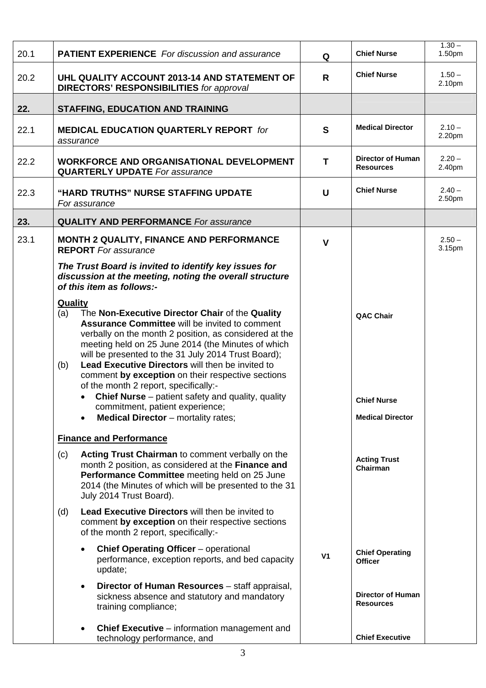| 20.1 | <b>PATIENT EXPERIENCE</b> For discussion and assurance                                                                                                                                                                                                                                                                                                                                                                                                                                                                                                                                                         | Q              | <b>Chief Nurse</b>                                                | $1.30 -$<br>1.50 <sub>pm</sub> |
|------|----------------------------------------------------------------------------------------------------------------------------------------------------------------------------------------------------------------------------------------------------------------------------------------------------------------------------------------------------------------------------------------------------------------------------------------------------------------------------------------------------------------------------------------------------------------------------------------------------------------|----------------|-------------------------------------------------------------------|--------------------------------|
| 20.2 | UHL QUALITY ACCOUNT 2013-14 AND STATEMENT OF<br><b>DIRECTORS' RESPONSIBILITIES for approval</b>                                                                                                                                                                                                                                                                                                                                                                                                                                                                                                                | R              | <b>Chief Nurse</b>                                                | $1.50 -$<br>2.10pm             |
| 22.  | <b>STAFFING, EDUCATION AND TRAINING</b>                                                                                                                                                                                                                                                                                                                                                                                                                                                                                                                                                                        |                |                                                                   |                                |
| 22.1 | <b>MEDICAL EDUCATION QUARTERLY REPORT for</b><br>assurance                                                                                                                                                                                                                                                                                                                                                                                                                                                                                                                                                     | S              | <b>Medical Director</b>                                           | $2.10 -$<br>2.20pm             |
| 22.2 | <b>WORKFORCE AND ORGANISATIONAL DEVELOPMENT</b><br><b>QUARTERLY UPDATE</b> For assurance                                                                                                                                                                                                                                                                                                                                                                                                                                                                                                                       | Т              | <b>Director of Human</b><br><b>Resources</b>                      | $2.20 -$<br>2.40pm             |
| 22.3 | "HARD TRUTHS" NURSE STAFFING UPDATE<br>For assurance                                                                                                                                                                                                                                                                                                                                                                                                                                                                                                                                                           | $\mathsf{U}$   | <b>Chief Nurse</b>                                                | $2.40 -$<br>2.50 <sub>pm</sub> |
| 23.  | <b>QUALITY AND PERFORMANCE</b> For assurance                                                                                                                                                                                                                                                                                                                                                                                                                                                                                                                                                                   |                |                                                                   |                                |
| 23.1 | <b>MONTH 2 QUALITY, FINANCE AND PERFORMANCE</b><br><b>REPORT</b> For assurance                                                                                                                                                                                                                                                                                                                                                                                                                                                                                                                                 | V              |                                                                   | $2.50 -$<br>3.15pm             |
|      | The Trust Board is invited to identify key issues for<br>discussion at the meeting, noting the overall structure<br>of this item as follows:-                                                                                                                                                                                                                                                                                                                                                                                                                                                                  |                |                                                                   |                                |
|      | <b>Quality</b><br>The Non-Executive Director Chair of the Quality<br>(a)<br><b>Assurance Committee will be invited to comment</b><br>verbally on the month 2 position, as considered at the<br>meeting held on 25 June 2014 (the Minutes of which<br>will be presented to the 31 July 2014 Trust Board);<br>Lead Executive Directors will then be invited to<br>(b)<br>comment by exception on their respective sections<br>of the month 2 report, specifically:-<br><b>Chief Nurse</b> – patient safety and quality, quality<br>commitment, patient experience;<br><b>Medical Director</b> – mortality rates; |                | <b>QAC Chair</b><br><b>Chief Nurse</b><br><b>Medical Director</b> |                                |
|      | <b>Finance and Performance</b>                                                                                                                                                                                                                                                                                                                                                                                                                                                                                                                                                                                 |                |                                                                   |                                |
|      | <b>Acting Trust Chairman to comment verbally on the</b><br>(c)<br>month 2 position, as considered at the Finance and<br>Performance Committee meeting held on 25 June<br>2014 (the Minutes of which will be presented to the 31<br>July 2014 Trust Board).                                                                                                                                                                                                                                                                                                                                                     |                | <b>Acting Trust</b><br>Chairman                                   |                                |
|      | <b>Lead Executive Directors will then be invited to</b><br>(d)<br>comment by exception on their respective sections<br>of the month 2 report, specifically:-                                                                                                                                                                                                                                                                                                                                                                                                                                                   |                |                                                                   |                                |
|      | <b>Chief Operating Officer</b> - operational<br>performance, exception reports, and bed capacity<br>update;                                                                                                                                                                                                                                                                                                                                                                                                                                                                                                    | V <sub>1</sub> | <b>Chief Operating</b><br><b>Officer</b>                          |                                |
|      | Director of Human Resources - staff appraisal,<br>$\bullet$<br>sickness absence and statutory and mandatory<br>training compliance;                                                                                                                                                                                                                                                                                                                                                                                                                                                                            |                | <b>Director of Human</b><br><b>Resources</b>                      |                                |
|      | <b>Chief Executive</b> – information management and<br>$\bullet$<br>technology performance, and                                                                                                                                                                                                                                                                                                                                                                                                                                                                                                                |                | <b>Chief Executive</b>                                            |                                |